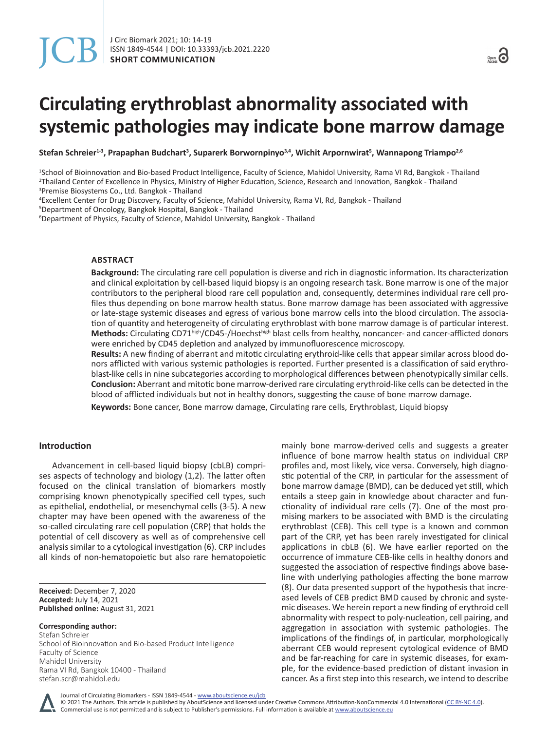# **Circulating erythroblast abnormality associated with systemic pathologies may indicate bone marrow damage**

**Stefan Schreier1-3, Prapaphan Budchart<sup>3</sup> , Suparerk Borwornpinyo3,4, Wichit Arpornwirat<sup>5</sup> , Wannapong Triampo2,6**

1 School of Bioinnovation and Bio-based Product Intelligence, Faculty of Science, Mahidol University, Rama VI Rd, Bangkok - Thailand 2 Thailand Center of Excellence in Physics, Ministry of Higher Education, Science, Research and Innovation, Bangkok - Thailand 3 Premise Biosystems Co., Ltd. Bangkok - Thailand

4 Excellent Center for Drug Discovery, Faculty of Science, Mahidol University, Rama VI, Rd, Bangkok - Thailand

5 Department of Oncology, Bangkok Hospital, Bangkok - Thailand

<sup>6</sup>Department of Physics, Faculty of Science, Mahidol University, Bangkok - Thailand

#### **ABSTRACT**

**Background:** The circulating rare cell population is diverse and rich in diagnostic information. Its characterization and clinical exploitation by cell-based liquid biopsy is an ongoing research task. Bone marrow is one of the major contributors to the peripheral blood rare cell population and, consequently, determines individual rare cell profiles thus depending on bone marrow health status. Bone marrow damage has been associated with aggressive or late-stage systemic diseases and egress of various bone marrow cells into the blood circulation. The association of quantity and heterogeneity of circulating erythroblast with bone marrow damage is of particular interest. **Methods:** Circulating CD71high/CD45-/Hoechsthigh blast cells from healthy, noncancer- and cancer-afflicted donors were enriched by CD45 depletion and analyzed by immunofluorescence microscopy.

**Results:** A new finding of aberrant and mitotic circulating erythroid-like cells that appear similar across blood donors afflicted with various systemic pathologies is reported. Further presented is a classification of said erythroblast-like cells in nine subcategories according to morphological differences between phenotypically similar cells. **Conclusion:** Aberrant and mitotic bone marrow-derived rare circulating erythroid-like cells can be detected in the blood of afflicted individuals but not in healthy donors, suggesting the cause of bone marrow damage.

**Keywords:** Bone cancer, Bone marrow damage, Circulating rare cells, Erythroblast, Liquid biopsy

# **Introduction**

Advancement in cell-based liquid biopsy (cbLB) comprises aspects of technology and biology (1,2). The latter often focused on the clinical translation of biomarkers mostly comprising known phenotypically specified cell types, such as epithelial, endothelial, or mesenchymal cells (3-5). A new chapter may have been opened with the awareness of the so-called circulating rare cell population (CRP) that holds the potential of cell discovery as well as of comprehensive cell analysis similar to a cytological investigation (6). CRP includes all kinds of non-hematopoietic but also rare hematopoietic

**Received:** December 7, 2020 **Accepted:** July 14, 2021 **Published online:** August 31, 2021

**Corresponding author:** Stefan Schreier School of Bioinnovation and Bio-based Product Intelligence Faculty of Science Mahidol University Rama VI Rd, Bangkok 10400 - Thailand stefan.scr@mahidol.edu

mainly bone marrow-derived cells and suggests a greater influence of bone marrow health status on individual CRP profiles and, most likely, vice versa. Conversely, high diagnostic potential of the CRP, in particular for the assessment of bone marrow damage (BMD), can be deduced yet still, which entails a steep gain in knowledge about character and functionality of individual rare cells (7). One of the most promising markers to be associated with BMD is the circulating erythroblast (CEB). This cell type is a known and common part of the CRP, yet has been rarely investigated for clinical applications in cbLB (6). We have earlier reported on the occurrence of immature CEB-like cells in healthy donors and suggested the association of respective findings above baseline with underlying pathologies affecting the bone marrow (8). Our data presented support of the hypothesis that increased levels of CEB predict BMD caused by chronic and systemic diseases. We herein report a new finding of erythroid cell abnormality with respect to poly-nucleation, cell pairing, and aggregation in association with systemic pathologies. The implications of the findings of, in particular, morphologically aberrant CEB would represent cytological evidence of BMD and be far-reaching for care in systemic diseases, for example, for the evidence-based prediction of distant invasion in cancer. As a first step into this research, we intend to describe

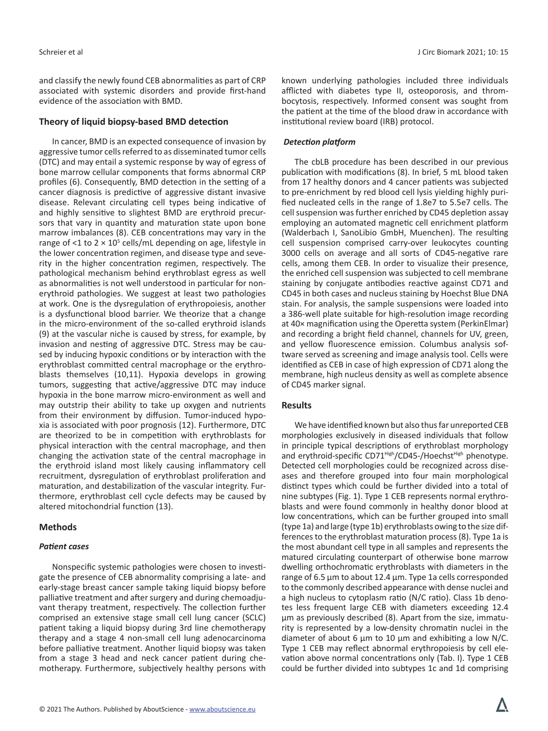and classify the newly found CEB abnormalities as part of CRP associated with systemic disorders and provide first-hand evidence of the association with BMD.

# **Theory of liquid biopsy-based BMD detection**

In cancer, BMD is an expected consequence of invasion by aggressive tumor cells referred to as disseminated tumor cells (DTC) and may entail a systemic response by way of egress of bone marrow cellular components that forms abnormal CRP profiles (6). Consequently, BMD detection in the setting of a cancer diagnosis is predictive of aggressive distant invasive disease. Relevant circulating cell types being indicative of and highly sensitive to slightest BMD are erythroid precursors that vary in quantity and maturation state upon bone marrow imbalances (8). CEB concentrations may vary in the range of <1 to  $2 \times 10^5$  cells/mL depending on age, lifestyle in the lower concentration regimen, and disease type and severity in the higher concentration regimen, respectively. The pathological mechanism behind erythroblast egress as well as abnormalities is not well understood in particular for nonerythroid pathologies. We suggest at least two pathologies at work. One is the dysregulation of erythropoiesis, another is a dysfunctional blood barrier. We theorize that a change in the micro-environment of the so-called erythroid islands (9) at the vascular niche is caused by stress, for example, by invasion and nesting of aggressive DTC. Stress may be caused by inducing hypoxic conditions or by interaction with the erythroblast committed central macrophage or the erythroblasts themselves (10,11). Hypoxia develops in growing tumors, suggesting that active/aggressive DTC may induce hypoxia in the bone marrow micro-environment as well and may outstrip their ability to take up oxygen and nutrients from their environment by diffusion. Tumor-induced hypoxia is associated with poor prognosis (12). Furthermore, DTC are theorized to be in competition with erythroblasts for physical interaction with the central macrophage, and then changing the activation state of the central macrophage in the erythroid island most likely causing inflammatory cell recruitment, dysregulation of erythroblast proliferation and maturation, and destabilization of the vascular integrity. Furthermore, erythroblast cell cycle defects may be caused by altered mitochondrial function (13).

# **Methods**

# *Patient cases*

Nonspecific systemic pathologies were chosen to investigate the presence of CEB abnormality comprising a late- and early-stage breast cancer sample taking liquid biopsy before palliative treatment and after surgery and during chemoadjuvant therapy treatment, respectively. The collection further comprised an extensive stage small cell lung cancer (SCLC) patient taking a liquid biopsy during 3rd line chemotherapy therapy and a stage 4 non-small cell lung adenocarcinoma before palliative treatment. Another liquid biopsy was taken from a stage 3 head and neck cancer patient during chemotherapy. Furthermore, subjectively healthy persons with

known underlying pathologies included three individuals afflicted with diabetes type II, osteoporosis, and thrombocytosis, respectively. Informed consent was sought from the patient at the time of the blood draw in accordance with institutional review board (IRB) protocol.

# *Detection platform*

The cbLB procedure has been described in our previous publication with modifications (8). In brief, 5 mL blood taken from 17 healthy donors and 4 cancer patients was subjected to pre-enrichment by red blood cell lysis yielding highly purified nucleated cells in the range of 1.8e7 to 5.5e7 cells. The cell suspension was further enriched by CD45 depletion assay employing an automated magnetic cell enrichment platform (Walderbach I, SanoLibio GmbH, Muenchen). The resulting cell suspension comprised carry-over leukocytes counting 3000 cells on average and all sorts of CD45-negative rare cells, among them CEB. In order to visualize their presence, the enriched cell suspension was subjected to cell membrane staining by conjugate antibodies reactive against CD71 and CD45 in both cases and nucleus staining by Hoechst Blue DNA stain. For analysis, the sample suspensions were loaded into a 386-well plate suitable for high-resolution image recording at 40× magnification using the Operetta system (PerkinElmar) and recording a bright field channel, channels for UV, green, and yellow fluorescence emission. Columbus analysis software served as screening and image analysis tool. Cells were identified as CEB in case of high expression of CD71 along the membrane, high nucleus density as well as complete absence of CD45 marker signal.

# **Results**

We have identified known but also thus far unreported CEB morphologies exclusively in diseased individuals that follow in principle typical descriptions of erythroblast morphology and erythroid-specific CD71<sup>High</sup>/CD45-/Hoechst<sup>High</sup> phenotype. Detected cell morphologies could be recognized across diseases and therefore grouped into four main morphological distinct types which could be further divided into a total of nine subtypes (Fig. 1). Type 1 CEB represents normal erythroblasts and were found commonly in healthy donor blood at low concentrations, which can be further grouped into small (type 1a) and large (type 1b) erythroblasts owing to the size differences to the erythroblast maturation process (8). Type 1a is the most abundant cell type in all samples and represents the matured circulating counterpart of otherwise bone marrow dwelling orthochromatic erythroblasts with diameters in the range of 6.5 µm to about 12.4 µm. Type 1a cells corresponded to the commonly described appearance with dense nuclei and a high nucleus to cytoplasm ratio (N/C ratio). Class 1b denotes less frequent large CEB with diameters exceeding 12.4 µm as previously described (8). Apart from the size, immaturity is represented by a low-density chromatin nuclei in the diameter of about 6  $\mu$ m to 10  $\mu$ m and exhibiting a low N/C. Type 1 CEB may reflect abnormal erythropoiesis by cell elevation above normal concentrations only (Tab. I). Type 1 CEB could be further divided into subtypes 1c and 1d comprising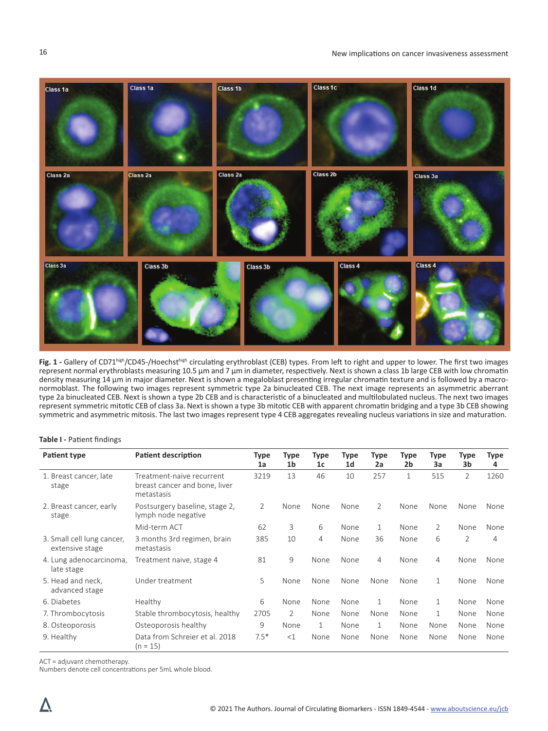

Fig. 1 - Gallery of CD71high/CD45-/Hoechsthigh circulating erythroblast (CEB) types. From left to right and upper to lower. The first two images represent normal erythroblasts measuring 10.5 μm and 7 μm in diameter, respectively. Next is shown a class 1b large CEB with low chromatin density measuring 14 μm in major diameter. Next is shown a megaloblast presenting irregular chromatin texture and is followed by a macronormoblast. The following two images represent symmetric type 2a binucleated CEB. The next image represents an asymmetric aberrant type 2a binucleated CEB. Next is shown a type 2b CEB and is characteristic of a binucleated and multilobulated nucleus. The next two images represent symmetric mitotic CEB of class 3a. Next is shown a type 3b mitotic CEB with apparent chromatin bridging and a type 3b CEB showing symmetric and asymmetric mitosis. The last two images represent type 4 CEB aggregates revealing nucleus variations in size and maturation.

#### **Table I -** Patient findings

| Patient type                                  | <b>Patient description</b>                                               | Type<br>1a | Type<br>1 <sub>b</sub> | <b>Type</b><br>1 <sub>c</sub> | Type<br>1 <sub>d</sub> | <b>Type</b><br>2a | Type<br>2b   | Type<br>3a   | Type<br>3b     | Type<br>4 |
|-----------------------------------------------|--------------------------------------------------------------------------|------------|------------------------|-------------------------------|------------------------|-------------------|--------------|--------------|----------------|-----------|
| 1. Breast cancer, late<br>stage               | Treatment-naive recurrent<br>breast cancer and bone, liver<br>metastasis | 3219       | 13                     | 46                            | 10                     | 257               | $\mathbf{1}$ | 515          | $\overline{2}$ | 1260      |
| 2. Breast cancer, early<br>stage              | Postsurgery baseline, stage 2,<br>lymph node negative                    | 2          | None                   | None                          | None                   | 2                 | None         | None         | None           | None      |
|                                               | Mid-term ACT                                                             | 62         | 3                      | 6                             | None                   | $\mathbf{1}$      | None         | 2            | None           | None      |
| 3. Small cell lung cancer,<br>extensive stage | 3 months 3rd regimen, brain<br>metastasis                                | 385        | 10                     | 4                             | None                   | 36                | None         | 6            | $\overline{2}$ | 4         |
| 4. Lung adenocarcinoma,<br>late stage         | Treatment naive, stage 4                                                 | 81         | 9                      | None                          | None                   | 4                 | None         | 4            | None           | None      |
| 5. Head and neck,<br>advanced stage           | Under treatment                                                          | 5          | None                   | None                          | None                   | None              | None         | $\mathbf{1}$ | None           | None      |
| 6. Diabetes                                   | Healthy                                                                  | 6          | None                   | None                          | None                   | $\mathbf{1}$      | None         | 1            | None           | None      |
| 7. Thrombocytosis                             | Stable thrombocytosis, healthy                                           | 2705       | $\overline{2}$         | None                          | None                   | None              | None         | $\mathbf{1}$ | None           | None      |
| 8. Osteoporosis                               | Osteoporosis healthy                                                     | 9          | None                   | 1                             | None                   | $\mathbf{1}$      | None         | None         | None           | None      |
| 9. Healthy                                    | Data from Schreier et al. 2018<br>$(n = 15)$                             | $7.5*$     | <1                     | None                          | None                   | None              | None         | None         | None           | None      |

ACT = adjuvant chemotherapy.

Numbers denote cell concentrations per 5mL whole blood.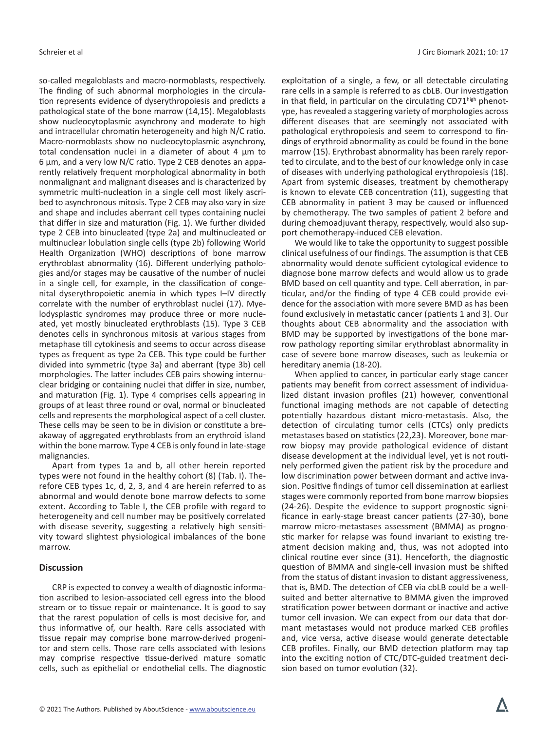so-called megaloblasts and macro-normoblasts, respectively. The finding of such abnormal morphologies in the circulation represents evidence of dyserythropoiesis and predicts a pathological state of the bone marrow (14,15). Megaloblasts show nucleocytoplasmic asynchrony and moderate to high and intracellular chromatin heterogeneity and high N/C ratio. Macro-normoblasts show no nucleocytoplasmic asynchrony, total condensation nuclei in a diameter of about 4  $\mu$ m to 6 µm, and a very low N/C ratio. Type 2 CEB denotes an apparently relatively frequent morphological abnormality in both nonmalignant and malignant diseases and is characterized by symmetric multi-nucleation in a single cell most likely ascribed to asynchronous mitosis. Type 2 CEB may also vary in size and shape and includes aberrant cell types containing nuclei that differ in size and maturation (Fig. 1). We further divided type 2 CEB into binucleated (type 2a) and multinucleated or multinuclear lobulation single cells (type 2b) following World Health Organization (WHO) descriptions of bone marrow erythroblast abnormality (16). Different underlying pathologies and/or stages may be causative of the number of nuclei in a single cell, for example, in the classification of congenital dyserythropoietic anemia in which types I–IV directly correlate with the number of erythroblast nuclei (17). Myelodysplastic syndromes may produce three or more nucleated, yet mostly binucleated erythroblasts (15). Type 3 CEB denotes cells in synchronous mitosis at various stages from metaphase till cytokinesis and seems to occur across disease types as frequent as type 2a CEB. This type could be further divided into symmetric (type 3a) and aberrant (type 3b) cell morphologies. The latter includes CEB pairs showing internuclear bridging or containing nuclei that differ in size, number, and maturation (Fig. 1). Type 4 comprises cells appearing in groups of at least three round or oval, normal or binucleated cells and represents the morphological aspect of a cell cluster. These cells may be seen to be in division or constitute a breakaway of aggregated erythroblasts from an erythroid island within the bone marrow. Type 4 CEB is only found in late-stage malignancies.

Apart from types 1a and b, all other herein reported types were not found in the healthy cohort (8) (Tab. I). Therefore CEB types 1c, d, 2, 3, and 4 are herein referred to as abnormal and would denote bone marrow defects to some extent. According to Table I, the CEB profile with regard to heterogeneity and cell number may be positively correlated with disease severity, suggesting a relatively high sensitivity toward slightest physiological imbalances of the bone marrow.

# **Discussion**

CRP is expected to convey a wealth of diagnostic information ascribed to lesion-associated cell egress into the blood stream or to tissue repair or maintenance. It is good to say that the rarest population of cells is most decisive for, and thus informative of, our health. Rare cells associated with tissue repair may comprise bone marrow-derived progenitor and stem cells. Those rare cells associated with lesions may comprise respective tissue-derived mature somatic cells, such as epithelial or endothelial cells. The diagnostic

exploitation of a single, a few, or all detectable circulating rare cells in a sample is referred to as cbLB. Our investigation in that field, in particular on the circulating CD71high phenotype, has revealed a staggering variety of morphologies across different diseases that are seemingly not associated with pathological erythropoiesis and seem to correspond to findings of erythroid abnormality as could be found in the bone marrow (15). Erythrobast abnormality has been rarely reported to circulate, and to the best of our knowledge only in case of diseases with underlying pathological erythropoiesis (18). Apart from systemic diseases, treatment by chemotherapy is known to elevate CEB concentration (11), suggesting that CEB abnormality in patient 3 may be caused or influenced by chemotherapy. The two samples of patient 2 before and during chemoadjuvant therapy, respectively, would also support chemotherapy-induced CEB elevation.

We would like to take the opportunity to suggest possible clinical usefulness of our findings. The assumption is that CEB abnormality would denote sufficient cytological evidence to diagnose bone marrow defects and would allow us to grade BMD based on cell quantity and type. Cell aberration, in particular, and/or the finding of type 4 CEB could provide evidence for the association with more severe BMD as has been found exclusively in metastatic cancer (patients 1 and 3). Our thoughts about CEB abnormality and the association with BMD may be supported by investigations of the bone marrow pathology reporting similar erythroblast abnormality in case of severe bone marrow diseases, such as leukemia or hereditary anemia (18-20).

When applied to cancer, in particular early stage cancer patients may benefit from correct assessment of individualized distant invasion profiles (21) however, conventional functional imaging methods are not capable of detecting potentially hazardous distant micro-metastasis. Also, the detection of circulating tumor cells (CTCs) only predicts metastases based on statistics (22,23). Moreover, bone marrow biopsy may provide pathological evidence of distant disease development at the individual level, yet is not routinely performed given the patient risk by the procedure and low discrimination power between dormant and active invasion. Positive findings of tumor cell dissemination at earliest stages were commonly reported from bone marrow biopsies (24-26). Despite the evidence to support prognostic significance in early-stage breast cancer patients (27-30), bone marrow micro-metastases assessment (BMMA) as prognostic marker for relapse was found invariant to existing treatment decision making and, thus, was not adopted into clinical routine ever since (31). Henceforth, the diagnostic question of BMMA and single-cell invasion must be shifted from the status of distant invasion to distant aggressiveness, that is, BMD. The detection of CEB via cbLB could be a wellsuited and better alternative to BMMA given the improved stratification power between dormant or inactive and active tumor cell invasion. We can expect from our data that dormant metastases would not produce marked CEB profiles and, vice versa, active disease would generate detectable CEB profiles. Finally, our BMD detection platform may tap into the exciting notion of CTC/DTC-guided treatment decision based on tumor evolution (32).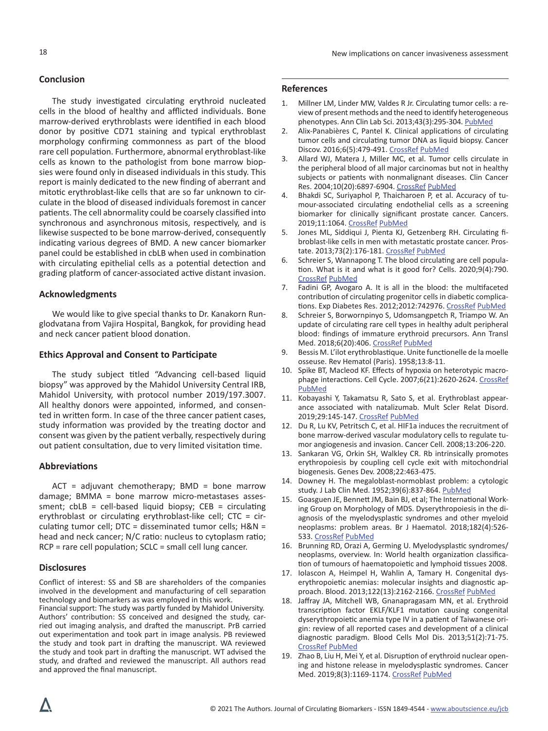### **Conclusion**

The study investigated circulating erythroid nucleated cells in the blood of healthy and afflicted individuals. Bone marrow-derived erythroblasts were identified in each blood donor by positive CD71 staining and typical erythroblast morphology confirming commonness as part of the blood rare cell population. Furthermore, abnormal erythroblast-like cells as known to the pathologist from bone marrow biopsies were found only in diseased individuals in this study. This report is mainly dedicated to the new finding of aberrant and mitotic erythroblast-like cells that are so far unknown to circulate in the blood of diseased individuals foremost in cancer patients. The cell abnormality could be coarsely classified into synchronous and asynchronous mitosis, respectively, and is likewise suspected to be bone marrow-derived, consequently indicating various degrees of BMD. A new cancer biomarker panel could be established in cbLB when used in combination with circulating epithelial cells as a potential detection and grading platform of cancer-associated active distant invasion.

#### **Acknowledgments**

We would like to give special thanks to Dr. Kanakorn Runglodvatana from Vajira Hospital, Bangkok, for providing head and neck cancer patient blood donation.

#### **Ethics Approval and Consent to Participate**

The study subject titled "Advancing cell-based liquid biopsy" was approved by the Mahidol University Central IRB, Mahidol University, with protocol number 2019/197.3007. All healthy donors were appointed, informed, and consented in written form. In case of the three cancer patient cases, study information was provided by the treating doctor and consent was given by the patient verbally, respectively during out patient consultation, due to very limited visitation time.

#### **Abbreviations**

 $ACT = adjuvant$  chemotherapy; BMD = bone marrow damage; BMMA = bone marrow micro-metastases assessment;  $cbLB = cell-based liquid biopy$ ;  $CEB = circulating$ erythroblast or circulating erythroblast-like cell; CTC = circulating tumor cell;  $DTC =$  disseminated tumor cells;  $H&N =$ head and neck cancer; N/C ratio: nucleus to cytoplasm ratio; RCP = rare cell population; SCLC = small cell lung cancer.

#### **Disclosures**

Conflict of interest: SS and SB are shareholders of the companies involved in the development and manufacturing of cell separation technology and biomarkers as was employed in this work.

Financial support: The study was partly funded by Mahidol University. Authors' contribution: SS conceived and designed the study, carried out imaging analysis, and drafted the manuscript. PrB carried out experimentation and took part in image analysis. PB reviewed the study and took part in drafting the manuscript. WA reviewed the study and took part in drafting the manuscript. WT advised the study, and drafted and reviewed the manuscript. All authors read and approved the final manuscript.

### **References**

- 1. Millner LM, Linder MW, Valdes R Jr. Circulating tumor cells: a review of present methods and the need to identify heterogeneous phenotypes. Ann Clin Lab Sci. 2013;43(3):295-304[. PubMed](https://www.ncbi.nlm.nih.gov/pubmed/23884225)
- 2. Alix-Panabières C, Pantel K. Clinical applications of circulating tumor cells and circulating tumor DNA as liquid biopsy. Cancer Discov. 2016;6(5):479-491. [CrossRef](https://doi.org/10.1158/2159-8290.CD-15-1483) [PubMed](https://www.ncbi.nlm.nih.gov/pubmed/26969689)
- 3. Allard WJ, Matera J, Miller MC, et al. Tumor cells circulate in the peripheral blood of all major carcinomas but not in healthy subjects or patients with nonmalignant diseases. Clin Cancer Res. 2004;10(20):6897-6904. [CrossRef](https://doi.org/10.1158/1078-0432.CCR-04-0378) [PubMed](https://www.ncbi.nlm.nih.gov/pubmed/15501967)
- 4. Bhakdi SC, Suriyaphol P, Thaicharoen P, et al. Accuracy of tumour-associated circulating endothelial cells as a screening biomarker for clinically significant prostate cancer. Cancers. 2019;11:1064. [CrossRef](https://doi.org/10.3390/cancers11081064) [PubMed](https://pubmed.ncbi.nlm.nih.gov/31357651/)
- 5. Jones ML, Siddiqui J, Pienta KJ, Getzenberg RH. Circulating fibroblast-like cells in men with metastatic prostate cancer. Prostate. 2013;73(2):176-181. [CrossRef](https://doi.org/10.1002/pros.22553) [PubMed](https://www.ncbi.nlm.nih.gov/pubmed/22718300)
- 6. Schreier S, Wannapong T. The blood circulating are cell population. What is it and what is it good for? Cells. 2020;9(4):790. [CrossRef](https://doi.org/10.3390/cells9040790) [PubMed](https://pubmed.ncbi.nlm.nih.gov/32218149/)
- 7. Fadini GP, Avogaro A. It is all in the blood: the multifaceted contribution of circulating progenitor cells in diabetic complica-tions. Exp Diabetes Res. 2012;2012:742976. [CrossRef](https://doi.org/10.1155/2012/742976) [PubMed](https://www.ncbi.nlm.nih.gov/pubmed/22548049)
- 8. Schreier S, Borwornpinyo S, Udomsangpetch R, Triampo W. An update of circulating rare cell types in healthy adult peripheral blood: findings of immature erythroid precursors. Ann Transl Med. 2018;6(20):406. [CrossRef](https://doi.org/10.21037/atm.2018.10.04) [PubMed](https://www.ncbi.nlm.nih.gov/pubmed/30498733)
- 9. Bessis M. L'ilot erythroblastique. Unite functionelle de la moelle osseuse. Rev Hematol (Paris). 1958;13:8-11.
- 10. Spike BT, Macleod KF. Effects of hypoxia on heterotypic macrophage interactions. Cell Cycle. 2007;6(21):2620-2624. [CrossRef](https://doi.org/10.4161/cc.6.21.4879) [PubMed](https://www.ncbi.nlm.nih.gov/pubmed/17873523)
- 11. Kobayashi Y, Takamatsu R, Sato S, et al. Erythroblast appearance associated with natalizumab. Mult Scler Relat Disord. 2019;29:145-147. [CrossRef](https://doi.org/10.1016/j.msard.2019.01.041) [PubMed](https://www.ncbi.nlm.nih.gov/pubmed/30711880)
- 12. Du R, Lu KV, Petritsch C, et al. HIF1a induces the recruitment of bone marrow-derived vascular modulatory cells to regulate tumor angiogenesis and invasion. Cancer Cell. 2008;13:206-220.
- 13. Sankaran VG, Orkin SH, Walkley CR. Rb intrinsically promotes erythropoiesis by coupling cell cycle exit with mitochondrial biogenesis. Genes Dev. 2008;22:463-475.
- 14. Downey H. The megaloblast-normoblast problem: a cytologic study. J Lab Clin Med. 1952;39(6):837-864. [PubMed](https://www.ncbi.nlm.nih.gov/pubmed/14938726)
- 15. Goasguen JE, Bennett JM, Bain BJ, et al; The International Working Group on Morphology of MDS. Dyserythropoiesis in the diagnosis of the myelodysplastic syndromes and other myeloid neoplasms: problem areas. Br J Haematol. 2018;182(4):526- 533. [CrossRef](https://doi.org/10.1111/bjh.15435) [PubMed](https://www.ncbi.nlm.nih.gov/pubmed/29917221)
- 16. Brunning RD, Orazi A, Germing U. Myelodysplastic syndromes/ neoplasms, overview. In: World health organization classification of tumours of haematopoietic and lymphoid tissues 2008.
- 17. Iolascon A, Heimpel H, Wahlin A, Tamary H. Congenital dyserythropoietic anemias: molecular insights and diagnostic approach. Blood. 2013;122(13):2162-2166. [CrossRef](https://doi.org/10.1182/blood-2013-05-468223) [PubMed](https://www.ncbi.nlm.nih.gov/pubmed/23940284)
- 18. Jaffray JA, Mitchell WB, Gnanapragasam MN, et al. Erythroid transcription factor EKLF/KLF1 mutation causing congenital dyserythropoietic anemia type IV in a patient of Taiwanese origin: review of all reported cases and development of a clinical diagnostic paradigm. Blood Cells Mol Dis. 2013;51(2):71-75. [CrossRef](https://doi.org/10.1016/j.bcmd.2013.02.006) [PubMed](https://www.ncbi.nlm.nih.gov/pubmed/23522491)
- 19. Zhao B, Liu H, Mei Y, et al. Disruption of erythroid nuclear opening and histone release in myelodysplastic syndromes. Cancer Med. 2019;8(3):1169-1174. [CrossRef](https://doi.org/10.1002/cam4.1969) [PubMed](https://www.ncbi.nlm.nih.gov/pubmed/30701702)